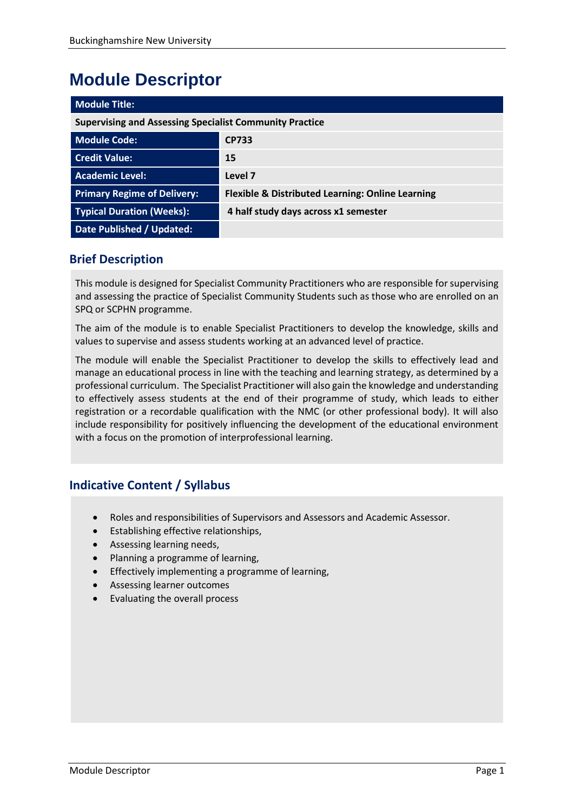# **Module Descriptor**

| <b>Module Title:</b>                                           |                                                             |  |  |  |  |  |
|----------------------------------------------------------------|-------------------------------------------------------------|--|--|--|--|--|
| <b>Supervising and Assessing Specialist Community Practice</b> |                                                             |  |  |  |  |  |
| <b>Module Code:</b>                                            | <b>CP733</b>                                                |  |  |  |  |  |
| <b>Credit Value:</b>                                           | 15                                                          |  |  |  |  |  |
| <b>Academic Level:</b>                                         | Level 7                                                     |  |  |  |  |  |
| <b>Primary Regime of Delivery:</b>                             | <b>Flexible &amp; Distributed Learning: Online Learning</b> |  |  |  |  |  |
| <b>Typical Duration (Weeks):</b>                               | 4 half study days across x1 semester                        |  |  |  |  |  |
| Date Published / Updated:                                      |                                                             |  |  |  |  |  |

# **Brief Description**

This module is designed for Specialist Community Practitioners who are responsible for supervising and assessing the practice of Specialist Community Students such as those who are enrolled on an SPQ or SCPHN programme.

The aim of the module is to enable Specialist Practitioners to develop the knowledge, skills and values to supervise and assess students working at an advanced level of practice.

The module will enable the Specialist Practitioner to develop the skills to effectively lead and manage an educational process in line with the teaching and learning strategy, as determined by a professional curriculum. The Specialist Practitioner will also gain the knowledge and understanding to effectively assess students at the end of their programme of study, which leads to either registration or a recordable qualification with the NMC (or other professional body). It will also include responsibility for positively influencing the development of the educational environment with a focus on the promotion of interprofessional learning.

## **Indicative Content / Syllabus**

- Roles and responsibilities of Supervisors and Assessors and Academic Assessor.
- Establishing effective relationships,
- Assessing learning needs,
- Planning a programme of learning,
- Effectively implementing a programme of learning,
- Assessing learner outcomes
- Evaluating the overall process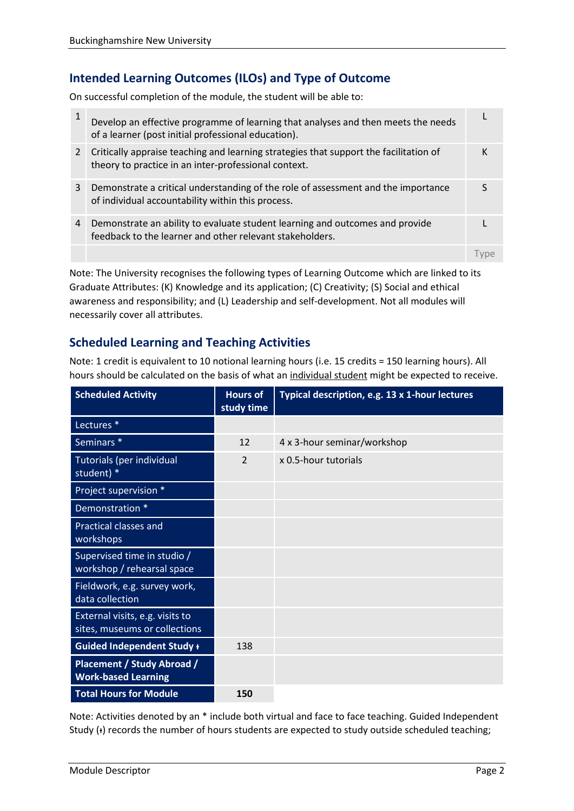# **Intended Learning Outcomes (ILOs) and Type of Outcome**

On successful completion of the module, the student will be able to:

| 1 | Develop an effective programme of learning that analyses and then meets the needs<br>of a learner (post initial professional education).      |  |
|---|-----------------------------------------------------------------------------------------------------------------------------------------------|--|
| 2 | Critically appraise teaching and learning strategies that support the facilitation of<br>theory to practice in an inter-professional context. |  |
| 3 | Demonstrate a critical understanding of the role of assessment and the importance<br>of individual accountability within this process.        |  |
| 4 | Demonstrate an ability to evaluate student learning and outcomes and provide<br>feedback to the learner and other relevant stakeholders.      |  |
|   |                                                                                                                                               |  |

Note: The University recognises the following types of Learning Outcome which are linked to its Graduate Attributes: (K) Knowledge and its application; (C) Creativity; (S) Social and ethical awareness and responsibility; and (L) Leadership and self-development. Not all modules will necessarily cover all attributes.

## **Scheduled Learning and Teaching Activities**

Note: 1 credit is equivalent to 10 notional learning hours (i.e. 15 credits = 150 learning hours). All hours should be calculated on the basis of what an individual student might be expected to receive.

| <b>Scheduled Activity</b>                                        | <b>Hours of</b><br>study time | Typical description, e.g. 13 x 1-hour lectures |  |  |
|------------------------------------------------------------------|-------------------------------|------------------------------------------------|--|--|
| Lectures <sup>*</sup>                                            |                               |                                                |  |  |
| Seminars <sup>*</sup>                                            | 12                            | 4 x 3-hour seminar/workshop                    |  |  |
| Tutorials (per individual<br>student) *                          | $\overline{2}$                | x 0.5-hour tutorials                           |  |  |
| Project supervision *                                            |                               |                                                |  |  |
| Demonstration *                                                  |                               |                                                |  |  |
| Practical classes and<br>workshops                               |                               |                                                |  |  |
| Supervised time in studio /<br>workshop / rehearsal space        |                               |                                                |  |  |
| Fieldwork, e.g. survey work,<br>data collection                  |                               |                                                |  |  |
| External visits, e.g. visits to<br>sites, museums or collections |                               |                                                |  |  |
| <b>Guided Independent Study +</b>                                | 138                           |                                                |  |  |
| <b>Placement / Study Abroad /</b><br><b>Work-based Learning</b>  |                               |                                                |  |  |
| <b>Total Hours for Module</b>                                    | 150                           |                                                |  |  |

Note: Activities denoted by an \* include both virtual and face to face teaching. Guided Independent Study (+) records the number of hours students are expected to study outside scheduled teaching;